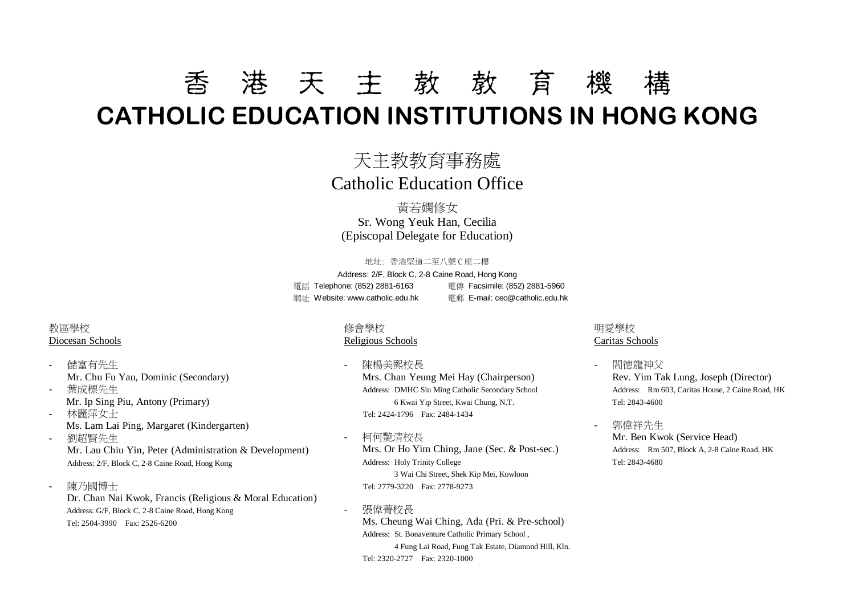# 香 港 天 主 教 教 育 機 構 **CATHOLIC EDUCATION INSTITUTIONS IN HONG KONG**

### 天主教教育事務處 Catholic Education Office

黃若嫻修女 Sr. Wong Yeuk Han, Cecilia (Episcopal Delegate for Education)

#### 地址: 香港堅道二至八號 C 座二樓

Address: 2/F, Block C, 2-8 Caine Road, Hong Kong 電話 Telephone: (852) 2881-6163 電傳 Facsimile: (852) 2881-5960 網址 Website: www.catholic.edu.hk 電郵 E-mail[: ceo@catholic.edu.hk](mailto:ceo@catholic.edu.hk)

### 教區學校 Diocesan Schools

- 儲富有先生 Mr. Chu Fu Yau, Dominic (Secondary)
- 葉成標先生 Mr. Ip Sing Piu, Antony (Primary) - 林麗萍女士
- Ms. Lam Lai Ping, Margaret (Kindergarten)
- 劉超賢先生 Mr. Lau Chiu Yin, Peter (Administration & Development) Address: 2/F, Block C, 2-8 Caine Road, Hong Kong
- 陳乃國博士 Dr. Chan Nai Kwok, Francis (Religious & Moral Education) Address: G/F, Block C, 2-8 Caine Road, Hong Kong Tel: 2504-3990 Fax: 2526-6200

### 修會學校

#### Religious Schools

- 陳楊美熙校長 Mrs. Chan Yeung Mei Hay (Chairperson) Address: DMHC Siu Ming Catholic Secondary School 6 Kwai Yip Street, Kwai Chung, N.T. Tel: 2424-1796 Fax: 2484-1434
- 柯何艷清校長 Mrs. Or Ho Yim Ching, Jane (Sec. & Post-sec.) Address: Holy Trinity College 3 Wai Chi Street, Shek Kip Mei, Kowloon Tel: 2779-3220 Fax: 2778-9273

#### - 張偉菁校長

Ms. Cheung Wai Ching, Ada (Pri. & Pre-school) Address: St. Bonaventure Catholic Primary School , 4 Fung Lai Road, Fung Tak Estate, Diamond Hill, Kln. Tel: 2320-2727 Fax: 2320-1000

### 明愛學校 Caritas Schools

- 閻德龍神父 Rev. Yim Tak Lung, Joseph (Director) Address: Rm 603, Caritas House, 2 Caine Road, HK Tel: 2843-4600
- 郭偉祥先生 Mr. Ben Kwok (Service Head) Address: Rm 507, Block A, 2-8 Caine Road, HK Tel: 2843-4680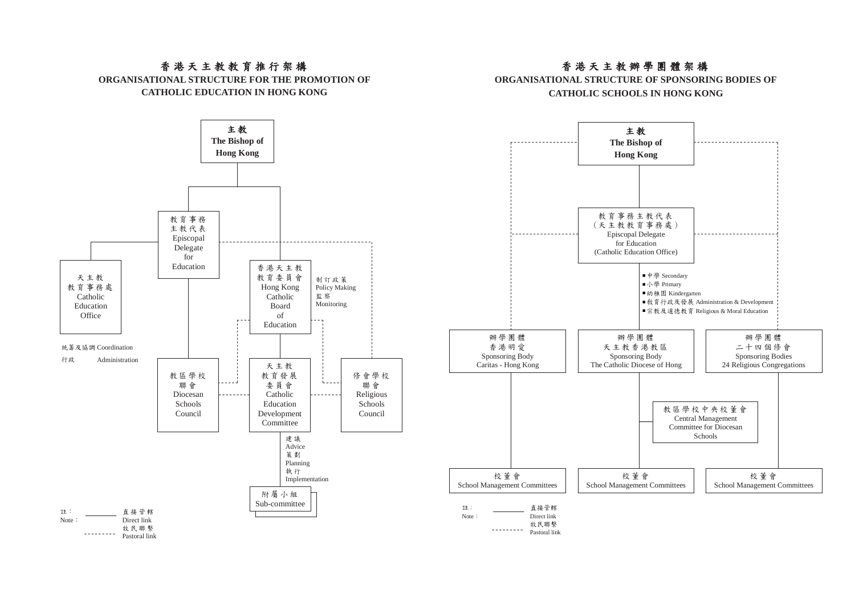### 香港天主教教育推行架構

**ORGANISATIONAL STRUCTURE FOR THE PROMOTION OF CATHOLIC EDUCATION IN HONG KONG**



### 香港天主教辦學團體架構

#### **ORGANISATIONAL STRUCTURE OF SPONSORING BODIES OF CATHOLIC SCHOOLS IN HONG KONG**

主教 **The Bishop of Hong Kong**  教育事務主教代表 )<br>(天主教教育事務處) . . . . . . . . . . . . . . . . . . Episcopal Delegate for Education (Catholic Education Office) ■中學 Secondary ι J<sub>ι</sub> 學 Primary 幼稚園 Kindergarten ■ 教育行政及發展 Administration & Development ■宗教及道德教育 Religious & Moral Education 辦學團體 辦學團體 辦學團體 香港明愛 二十四個條會 天主教香港教區 Sponsoring Body Sponsoring Body Sponsoring Bodies Caritas - Hong Kong The Catholic Diocese of Hong 24 Religious Congregations 教區學校中央校董會 Central Management Committee for Diocesan Schools 校董會 校董會 校董會 School Management Committees School Management Committees School Management Committees <sub>ልቷ</sub>: 盲接管轄 Note: Direct link 牧民聯繫

Pastoral link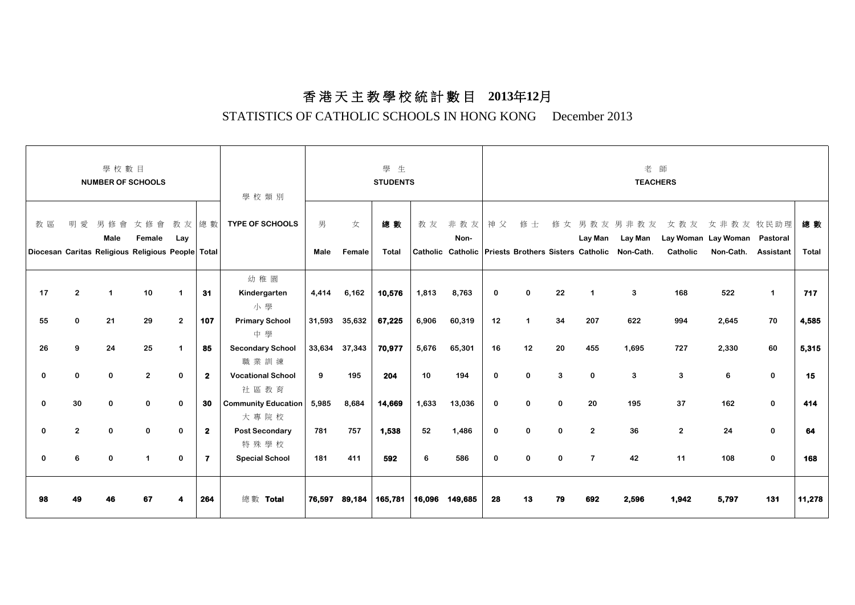### 香 港 天 主 教 學 校 統 計 數 目 **2013**年**12**月

### STATISTICS OF CATHOLIC SCHOOLS IN HONG KONG December 2013

| 學校數目<br><b>NUMBER OF SCHOOLS</b> |                            |                                                                      |                         |                                        |                    | 學校類別                                                                | 學生<br><b>STUDENTS</b> |                        |                  |                | 老師<br><b>TEACHERS</b> |                  |                                  |                              |                      |                                                                                             |                      |                                                           |                            |              |
|----------------------------------|----------------------------|----------------------------------------------------------------------|-------------------------|----------------------------------------|--------------------|---------------------------------------------------------------------|-----------------------|------------------------|------------------|----------------|-----------------------|------------------|----------------------------------|------------------------------|----------------------|---------------------------------------------------------------------------------------------|----------------------|-----------------------------------------------------------|----------------------------|--------------|
| 教區                               | 明<br>愛                     | 男<br>修會<br>Male<br>Diocesan Caritas Religious Religious People Total | 女修會<br>Female           | 教友總數<br>Lay                            |                    | <b>TYPE OF SCHOOLS</b>                                              | 男<br>Male             | 女<br>Female            | 總數<br>Total      | 教友             | 非教友<br>Non-           | 神父               | 修士                               | 修女                           |                      | 男教友男非教友<br>Lay Man Lay Man<br>Catholic Catholic Priests Brothers Sisters Catholic Non-Cath. | 女教友<br>Catholic      | 女 非 教 友 牧民助理<br>Lay Woman Lay Woman Pastoral<br>Non-Cath. | Assistant                  | 總 數<br>Total |
| 17<br>55                         | $\overline{2}$<br>$\Omega$ | $\mathbf{1}$<br>21                                                   | 10<br>29                | $\blacktriangleleft$<br>$\overline{2}$ | 31<br>107          | 幼稚園<br>Kindergarten<br>小學<br><b>Primary School</b>                  | 4,414                 | 6,162<br>31,593 35,632 | 10,576<br>67,225 | 1,813<br>6,906 | 8,763<br>60,319       | 0<br>12          | $\bf{0}$<br>$\blacktriangleleft$ | 22<br>34                     | 1<br>207             | 3<br>622                                                                                    | 168<br>994           | 522<br>2,645                                              | $\mathbf{1}$<br>70         | 717<br>4,585 |
| 26                               | 9                          | 24                                                                   | 25                      | $\blacktriangleleft$                   | 85                 | 中學<br><b>Secondary School</b><br>職業訓練                               |                       | 33,634 37,343          | 70,977           | 5,676          | 65,301                | 16               | 12                               | 20                           | 455                  | 1,695                                                                                       | 727                  | 2,330                                                     | 60                         | 5,315        |
| 0                                | $\mathbf{0}$               | $\mathbf 0$                                                          | $\overline{2}$          | $\mathbf 0$                            | $\mathbf{2}$       | <b>Vocational School</b><br>社區教育                                    | 9                     | 195                    | 204              | 10             | 194                   | $\mathbf 0$      | $\bf{0}$                         | 3                            | $\mathbf 0$          | 3                                                                                           | 3                    | 6                                                         | $\mathbf 0$                | 15           |
| 0<br>0                           | 30<br>$\overline{2}$       | $\mathbf 0$<br>$\mathbf 0$                                           | $\mathbf 0$<br>$\bf{0}$ | $\mathbf 0$<br>$\bf{0}$                | 30<br>$\mathbf{2}$ | <b>Community Education</b><br>大專院校<br><b>Post Secondary</b><br>特殊學校 | 5,985<br>781          | 8,684<br>757           | 14,669<br>1,538  | 1,633<br>52    | 13,036<br>1,486       | 0<br>$\mathbf 0$ | $\Omega$<br>$\Omega$             | $\mathbf{0}$<br>$\mathbf{0}$ | 20<br>$\overline{2}$ | 195<br>36                                                                                   | 37<br>$\overline{2}$ | 162<br>24                                                 | $\mathbf 0$<br>$\mathbf 0$ | 414<br>64    |
| $\bf{0}$                         | 6                          | $\Omega$                                                             | $\mathbf{1}$            | $\bf{0}$                               | 7                  | <b>Special School</b>                                               | 181                   | 411                    | 592              | 6              | 586                   | 0                | $\Omega$                         | $\Omega$                     | $\overline{7}$       | 42                                                                                          | 11                   | 108                                                       | $\mathbf 0$                | 168          |
| 98                               |                            |                                                                      | 67                      |                                        | 264                | 總數 Total                                                            |                       | 76,597 89,184          | 165,781          | 16,096         | 149,685               | 28               | 13                               | 79                           | 692                  | 2,596                                                                                       | 1,942                | 5,797                                                     | 131                        | 11,278       |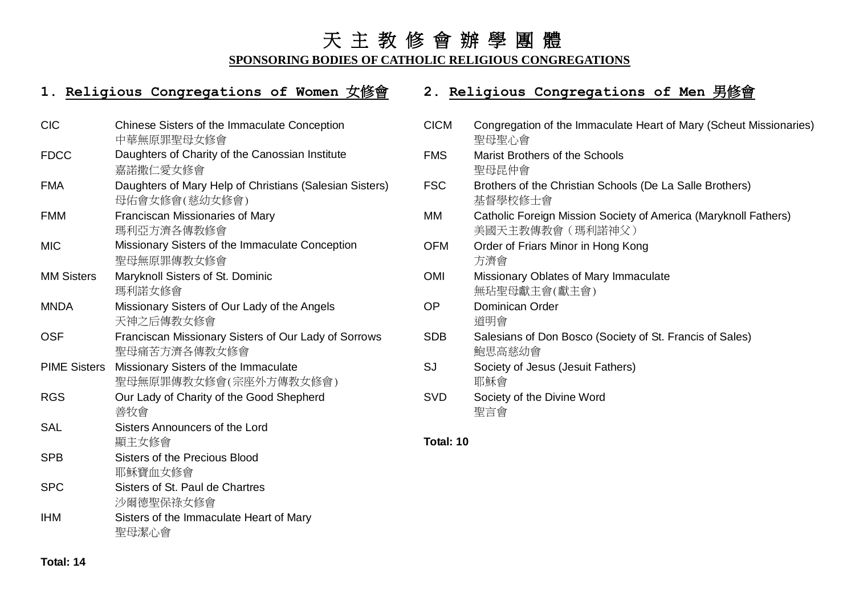### 天 主 教 修 會 辦 學 團 體

### **SPONSORING BODIES OF CATHOLIC RELIGIOUS CONGREGATIONS**

### **1. Religious Congregations of Women** 女修會 **2. Religious Congregations of Men** 男修會

| <b>CIC</b>          | Chinese Sisters of the Immaculate Conception<br>中華無原罪聖母女修會               |
|---------------------|--------------------------------------------------------------------------|
| <b>FDCC</b>         | Daughters of Charity of the Canossian Institute                          |
|                     | 嘉諾撒仁愛女修會                                                                 |
| <b>FMA</b>          | Daughters of Mary Help of Christians (Salesian Sisters)<br>母佑會女修會(慈幼女修會) |
| <b>FMM</b>          | <b>Franciscan Missionaries of Mary</b>                                   |
|                     | 瑪利亞方濟各傳教修會                                                               |
| <b>MIC</b>          | Missionary Sisters of the Immaculate Conception                          |
|                     | 聖母無原罪傳教女修會                                                               |
| <b>MM Sisters</b>   | Maryknoll Sisters of St. Dominic                                         |
|                     | 瑪利諾女修會                                                                   |
| <b>MNDA</b>         | Missionary Sisters of Our Lady of the Angels                             |
|                     | 天神之后傳教女修會                                                                |
| <b>OSF</b>          | Franciscan Missionary Sisters of Our Lady of Sorrows                     |
|                     | 聖母痛苦方濟各傳教女修會                                                             |
| <b>PIME Sisters</b> | Missionary Sisters of the Immaculate                                     |
|                     | 聖母無原罪傳教女修會(宗座外方傳教女修會)                                                    |
| <b>RGS</b>          | Our Lady of Charity of the Good Shepherd                                 |
|                     | 善牧會                                                                      |
| <b>SAL</b>          | Sisters Announcers of the Lord                                           |
|                     | 顯主女修會                                                                    |
| <b>SPB</b>          | <b>Sisters of the Precious Blood</b>                                     |
|                     | 耶穌寶血女修會                                                                  |
| <b>SPC</b>          | Sisters of St. Paul de Chartres                                          |
|                     | 沙爾德聖保祿女修會                                                                |
| <b>IHM</b>          | Sisters of the Immaculate Heart of Mary                                  |
|                     | 聖母潔心會                                                                    |

| <b>CICM</b> | Congregation of the Immaculate Heart of Mary (Scheut Missionaries)<br>聖母聖心會        |
|-------------|------------------------------------------------------------------------------------|
| <b>FMS</b>  | <b>Marist Brothers of the Schools</b><br>聖母昆仲會                                     |
| <b>FSC</b>  | Brothers of the Christian Schools (De La Salle Brothers)<br>基督學校修士會                |
| МM          | Catholic Foreign Mission Society of America (Maryknoll Fathers)<br>美國天主教傳教會(瑪利諾神父) |
| <b>OFM</b>  | Order of Friars Minor in Hong Kong<br>方濟會                                          |
| <b>OMI</b>  | Missionary Oblates of Mary Immaculate<br>無玷聖母獻主會(獻主會)                              |
| OP          | Dominican Order<br>道明會                                                             |
| <b>SDB</b>  | Salesians of Don Bosco (Society of St. Francis of Sales)<br>鮑思高慈幼會                 |
| SJ          | Society of Jesus (Jesuit Fathers)<br>耶穌會                                           |
| <b>SVD</b>  | Society of the Divine Word<br>聖言會                                                  |
| — <u>.</u>  |                                                                                    |

### **Total: 10**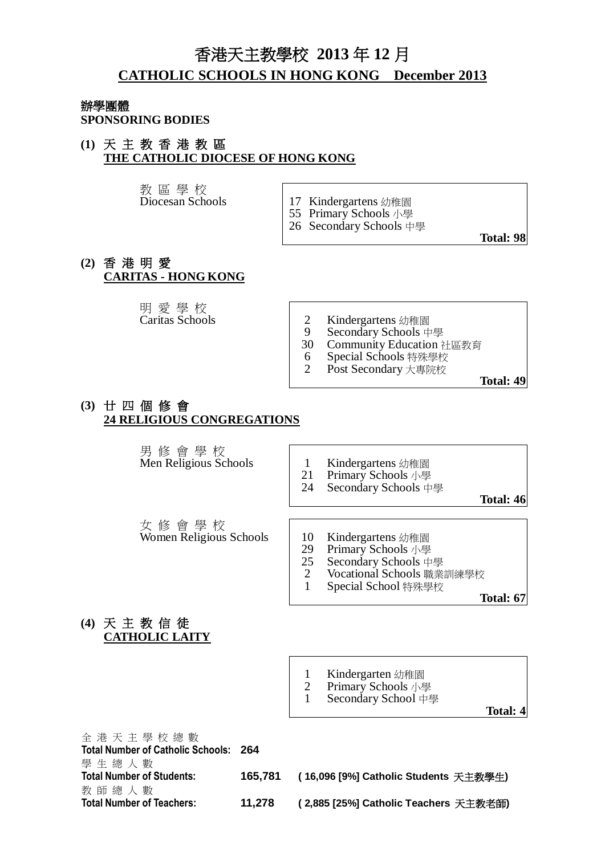### 香港天主教學校 **2013** 年 **12** 月 **CATHOLIC SCHOOLS IN HONG KONG December 2013**

### 辦學團體

**SPONSORING BODIES**

### **(1)** 天 主 教 香 港 教 區 **THE CATHOLIC DIOCESE OF HONG KONG**

教 區 學 校

- 17 Kindergartens 幼稚園
- 55 Primary Schools 小學
- 26 Secondary Schools 中學

**Total: 98**

### **(2)** 香 港 明 愛 **CARITAS - HONG KONG**

明 愛 學 校<br>Caritas Schools

- 2 Kindergartens 幼稚園<br>9 Secondary Schools 中
- 9 Secondary Schools 中學<br>30 Community Education
- 30 Community Education 社區教育
- 6 Special Schools 特殊學校
- 2 Post Secondary 大專院校

**Total: 49**

### **(3)** 廿 四 個 修 會 **24 RELIGIOUS CONGREGATIONS**

男 修 會 學 校

- Men Religious Schools | 1 Kindergartens 幼稚園
	- 21 Primary Schools 小學
	- 24 Secondary Schools 中學

**Total: 46**

女 修 會 學 校 Women Religious Schools <br>
10 Kindergartens 幼稚園<br>
29 Primary Schools 小學

- 
- 29 Primary Schools 小學<br>25 Secondary Schools 中
- 25 Secondary Schools 中學<br>2 Vocational Schools 職業
- 2 Vocational Schools 職業訓練學校<br>1 Special School 特殊學校 1 Special School 特殊學校

**Total: 67**

**(4)** 天 主 教 信 徒 **CATHOLIC LAITY**

- 1 Kindergarten 幼稚園
- 2 Primary Schools 小學
- 1 Secondary School 中學

**Total: 4**

全 港 天 主 學 校 總 數 **Total Number of Catholic Schools: 264** 學 生 總 人 數 **Total Number of Students: 165,781 ( 16,096 [9%] Catholic Students** 天主教學生**)** 教 師 總 人 數 **Total Number of Teachers: 11,278 ( 2,885 [25%] Catholic Teachers** 天主教老師**)**